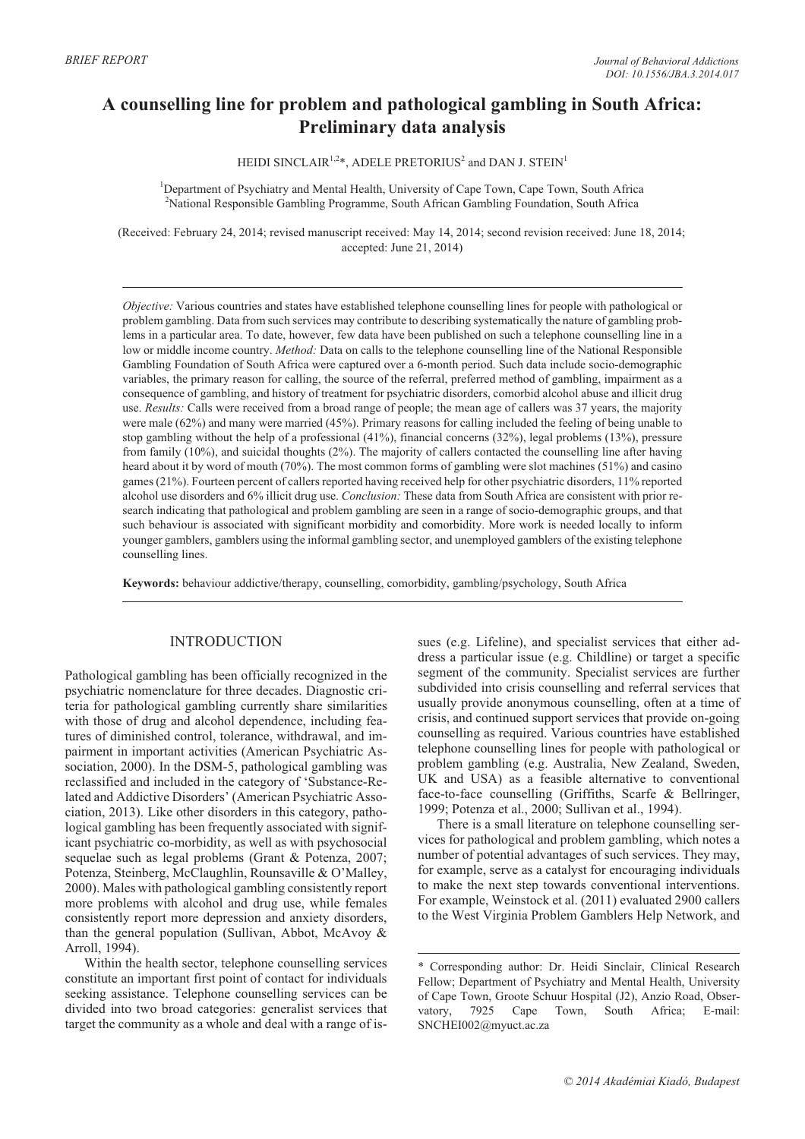# **A counselling line for problem and pathological gambling in South Africa: Preliminary data analysis**

HEIDI SINCLAIR<sup>1,2\*</sup>, ADELE PRETORIUS<sup>2</sup> and DAN J. STEIN<sup>1</sup>

<sup>1</sup>Department of Psychiatry and Mental Health, University of Cape Town, Cape Town, South Africa <sup>2</sup>National Responsible Gambling Programme, South African Gambling Foundation, South Africa

(Received: February 24, 2014; revised manuscript received: May 14, 2014; second revision received: June 18, 2014; accepted: June 21, 2014)

*Objective:* Various countries and states have established telephone counselling lines for people with pathological or problem gambling. Data from such services may contribute to describing systematically the nature of gambling problems in a particular area. To date, however, few data have been published on such a telephone counselling line in a low or middle income country. *Method:* Data on calls to the telephone counselling line of the National Responsible Gambling Foundation of South Africa were captured over a 6-month period. Such data include socio-demographic variables, the primary reason for calling, the source of the referral, preferred method of gambling, impairment as a consequence of gambling, and history of treatment for psychiatric disorders, comorbid alcohol abuse and illicit drug use. *Results:* Calls were received from a broad range of people; the mean age of callers was 37 years, the majority were male (62%) and many were married (45%). Primary reasons for calling included the feeling of being unable to stop gambling without the help of a professional (41%), financial concerns (32%), legal problems (13%), pressure from family (10%), and suicidal thoughts (2%). The majority of callers contacted the counselling line after having heard about it by word of mouth (70%). The most common forms of gambling were slot machines (51%) and casino games (21%). Fourteen percent of callers reported having received help for other psychiatric disorders, 11% reported alcohol use disorders and 6% illicit drug use. *Conclusion:* These data from South Africa are consistent with prior research indicating that pathological and problem gambling are seen in a range of socio-demographic groups, and that such behaviour is associated with significant morbidity and comorbidity. More work is needed locally to inform younger gamblers, gamblers using the informal gambling sector, and unemployed gamblers of the existing telephone counselling lines.

**Keywords:** behaviour addictive/therapy, counselling, comorbidity, gambling/psychology, South Africa

## INTRODUCTION

Pathological gambling has been officially recognized in the psychiatric nomenclature for three decades. Diagnostic criteria for pathological gambling currently share similarities with those of drug and alcohol dependence, including features of diminished control, tolerance, withdrawal, and impairment in important activities (American Psychiatric Association, 2000). In the DSM-5, pathological gambling was reclassified and included in the category of 'Substance-Related and Addictive Disorders' (American Psychiatric Association, 2013). Like other disorders in this category, pathological gambling has been frequently associated with significant psychiatric co-morbidity, as well as with psychosocial sequelae such as legal problems (Grant & Potenza, 2007; Potenza, Steinberg, McClaughlin, Rounsaville & O'Malley, 2000). Males with pathological gambling consistently report more problems with alcohol and drug use, while females consistently report more depression and anxiety disorders, than the general population (Sullivan, Abbot, McAvoy & Arroll, 1994).

Within the health sector, telephone counselling services constitute an important first point of contact for individuals seeking assistance. Telephone counselling services can be divided into two broad categories: generalist services that target the community as a whole and deal with a range of issues (e.g. Lifeline), and specialist services that either address a particular issue (e.g. Childline) or target a specific segment of the community. Specialist services are further subdivided into crisis counselling and referral services that usually provide anonymous counselling, often at a time of crisis, and continued support services that provide on-going counselling as required. Various countries have established telephone counselling lines for people with pathological or problem gambling (e.g. Australia, New Zealand, Sweden, UK and USA) as a feasible alternative to conventional face-to-face counselling (Griffiths, Scarfe & Bellringer, 1999; Potenza et al., 2000; Sullivan et al., 1994).

There is a small literature on telephone counselling services for pathological and problem gambling, which notes a number of potential advantages of such services. They may, for example, serve as a catalyst for encouraging individuals to make the next step towards conventional interventions. For example, Weinstock et al. (2011) evaluated 2900 callers to the West Virginia Problem Gamblers Help Network, and

<sup>\*</sup> Corresponding author: Dr. Heidi Sinclair, Clinical Research Fellow; Department of Psychiatry and Mental Health, University of Cape Town, Groote Schuur Hospital (J2), Anzio Road, Observatory, 7925 Cape Town, South Africa; E-mail: SNCHEI002@myuct.ac.za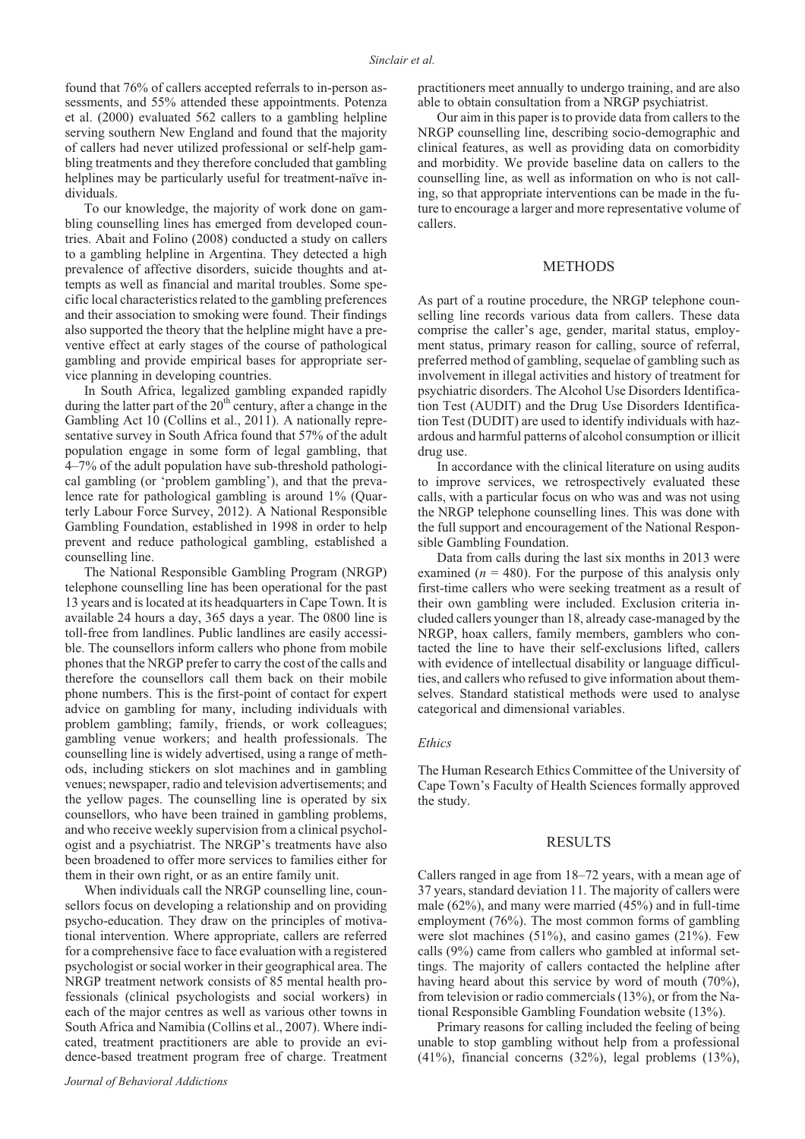found that 76% of callers accepted referrals to in-person assessments, and 55% attended these appointments. Potenza et al. (2000) evaluated 562 callers to a gambling helpline serving southern New England and found that the majority of callers had never utilized professional or self-help gambling treatments and they therefore concluded that gambling helplines may be particularly useful for treatment-naïve individuals.

To our knowledge, the majority of work done on gambling counselling lines has emerged from developed countries. Abait and Folino (2008) conducted a study on callers to a gambling helpline in Argentina. They detected a high prevalence of affective disorders, suicide thoughts and attempts as well as financial and marital troubles. Some specific local characteristics related to the gambling preferences and their association to smoking were found. Their findings also supported the theory that the helpline might have a preventive effect at early stages of the course of pathological gambling and provide empirical bases for appropriate service planning in developing countries.

In South Africa, legalized gambling expanded rapidly during the latter part of the  $20<sup>th</sup>$  century, after a change in the Gambling Act 10 (Collins et al., 2011). A nationally representative survey in South Africa found that 57% of the adult population engage in some form of legal gambling, that 4–7% of the adult population have sub-threshold pathological gambling (or 'problem gambling'), and that the prevalence rate for pathological gambling is around 1% (Quarterly Labour Force Survey, 2012). A National Responsible Gambling Foundation, established in 1998 in order to help prevent and reduce pathological gambling, established a counselling line.

The National Responsible Gambling Program (NRGP) telephone counselling line has been operational for the past 13 years and is located at its headquarters in Cape Town. It is available 24 hours a day, 365 days a year. The 0800 line is toll-free from landlines. Public landlines are easily accessible. The counsellors inform callers who phone from mobile phones that the NRGP prefer to carry the cost of the calls and therefore the counsellors call them back on their mobile phone numbers. This is the first-point of contact for expert advice on gambling for many, including individuals with problem gambling; family, friends, or work colleagues; gambling venue workers; and health professionals. The counselling line is widely advertised, using a range of methods, including stickers on slot machines and in gambling venues; newspaper, radio and television advertisements; and the yellow pages. The counselling line is operated by six counsellors, who have been trained in gambling problems, and who receive weekly supervision from a clinical psychologist and a psychiatrist. The NRGP's treatments have also been broadened to offer more services to families either for them in their own right, or as an entire family unit.

When individuals call the NRGP counselling line, counsellors focus on developing a relationship and on providing psycho-education. They draw on the principles of motivational intervention. Where appropriate, callers are referred for a comprehensive face to face evaluation with a registered psychologist or social worker in their geographical area. The NRGP treatment network consists of 85 mental health professionals (clinical psychologists and social workers) in each of the major centres as well as various other towns in South Africa and Namibia (Collins et al., 2007). Where indicated, treatment practitioners are able to provide an evidence-based treatment program free of charge. Treatment practitioners meet annually to undergo training, and are also able to obtain consultation from a NRGP psychiatrist.

Our aim in this paper is to provide data from callers to the NRGP counselling line, describing socio-demographic and clinical features, as well as providing data on comorbidity and morbidity. We provide baseline data on callers to the counselling line, as well as information on who is not calling, so that appropriate interventions can be made in the future to encourage a larger and more representative volume of callers.

### **METHODS**

As part of a routine procedure, the NRGP telephone counselling line records various data from callers. These data comprise the caller's age, gender, marital status, employment status, primary reason for calling, source of referral, preferred method of gambling, sequelae of gambling such as involvement in illegal activities and history of treatment for psychiatric disorders. The Alcohol Use Disorders Identification Test (AUDIT) and the Drug Use Disorders Identification Test (DUDIT) are used to identify individuals with hazardous and harmful patterns of alcohol consumption or illicit drug use.

In accordance with the clinical literature on using audits to improve services, we retrospectively evaluated these calls, with a particular focus on who was and was not using the NRGP telephone counselling lines. This was done with the full support and encouragement of the National Responsible Gambling Foundation.

Data from calls during the last six months in 2013 were examined  $(n = 480)$ . For the purpose of this analysis only first-time callers who were seeking treatment as a result of their own gambling were included. Exclusion criteria included callers younger than 18, already case-managed by the NRGP, hoax callers, family members, gamblers who contacted the line to have their self-exclusions lifted, callers with evidence of intellectual disability or language difficulties, and callers who refused to give information about themselves. Standard statistical methods were used to analyse categorical and dimensional variables.

#### *Ethics*

The Human Research Ethics Committee of the University of Cape Town's Faculty of Health Sciences formally approved the study.

#### RESULTS

Callers ranged in age from 18–72 years, with a mean age of 37 years, standard deviation 11. The majority of callers were male (62%), and many were married (45%) and in full-time employment (76%). The most common forms of gambling were slot machines (51%), and casino games (21%). Few calls (9%) came from callers who gambled at informal settings. The majority of callers contacted the helpline after having heard about this service by word of mouth (70%), from television or radio commercials (13%), or from the National Responsible Gambling Foundation website (13%).

Primary reasons for calling included the feeling of being unable to stop gambling without help from a professional (41%), financial concerns (32%), legal problems (13%),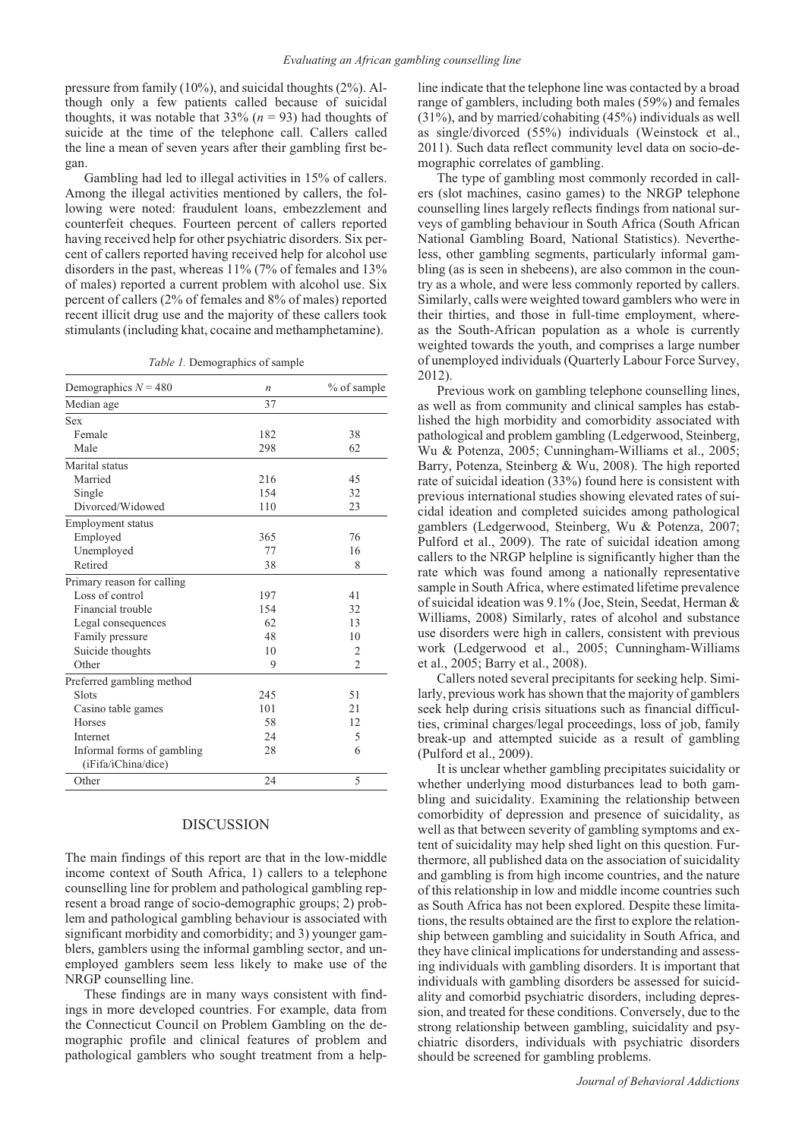pressure from family (10%), and suicidal thoughts (2%). Although only a few patients called because of suicidal thoughts, it was notable that  $33\%$  ( $n = 93$ ) had thoughts of suicide at the time of the telephone call. Callers called the line a mean of seven years after their gambling first began.

Gambling had led to illegal activities in 15% of callers. Among the illegal activities mentioned by callers, the following were noted: fraudulent loans, embezzlement and counterfeit cheques. Fourteen percent of callers reported having received help for other psychiatric disorders. Six percent of callers reported having received help for alcohol use disorders in the past, whereas  $11\%$  (7% of females and 13%) of males) reported a current problem with alcohol use. Six percent of callers (2% of females and 8% of males) reported recent illicit drug use and the majority of these callers took stimulants (including khat, cocaine and methamphetamine).

*Table 1.* Demographics of sample

| Demographics $N = 480$                            | n   | % of sample    |
|---------------------------------------------------|-----|----------------|
| Median age                                        | 37  |                |
| <b>Sex</b>                                        |     |                |
| Female                                            | 182 | 38             |
| Male                                              | 298 | 62             |
| Marital status                                    |     |                |
| Married                                           | 216 | 45             |
| Single                                            | 154 | 32             |
| Divorced/Widowed                                  | 110 | 23             |
| Employment status                                 |     |                |
| Employed                                          | 365 | 76             |
| Unemployed                                        | 77  | 16             |
| Retired                                           | 38  | 8              |
| Primary reason for calling                        |     |                |
| Loss of control                                   | 197 | 41             |
| Financial trouble                                 | 154 | 32             |
| Legal consequences                                | 62  | 13             |
| Family pressure                                   | 48  | 10             |
| Suicide thoughts                                  | 10  | $\overline{c}$ |
| Other                                             | 9   | $\overline{2}$ |
| Preferred gambling method                         |     |                |
| Slots                                             | 245 | 51             |
| Casino table games                                | 101 | 21             |
| <b>Horses</b>                                     | 58  | 12             |
| Internet                                          | 24  | 5              |
| Informal forms of gambling<br>(iFifa/iChina/dice) | 28  | 6              |
| Other                                             | 24  | 5              |
|                                                   |     |                |

## DISCUSSION

The main findings of this report are that in the low-middle income context of South Africa, 1) callers to a telephone counselling line for problem and pathological gambling represent a broad range of socio-demographic groups; 2) problem and pathological gambling behaviour is associated with significant morbidity and comorbidity; and 3) younger gamblers, gamblers using the informal gambling sector, and unemployed gamblers seem less likely to make use of the NRGP counselling line.

These findings are in many ways consistent with findings in more developed countries. For example, data from the Connecticut Council on Problem Gambling on the demographic profile and clinical features of problem and pathological gamblers who sought treatment from a helpline indicate that the telephone line was contacted by a broad range of gamblers, including both males (59%) and females (31%), and by married/cohabiting (45%) individuals as well as single/divorced (55%) individuals (Weinstock et al., 2011). Such data reflect community level data on socio-demographic correlates of gambling.

The type of gambling most commonly recorded in callers (slot machines, casino games) to the NRGP telephone counselling lines largely reflects findings from national surveys of gambling behaviour in South Africa (South African National Gambling Board, National Statistics). Nevertheless, other gambling segments, particularly informal gambling (as is seen in shebeens), are also common in the country as a whole, and were less commonly reported by callers. Similarly, calls were weighted toward gamblers who were in their thirties, and those in full-time employment, whereas the South-African population as a whole is currently weighted towards the youth, and comprises a large number of unemployed individuals (Quarterly Labour Force Survey, 2012).

Previous work on gambling telephone counselling lines, as well as from community and clinical samples has established the high morbidity and comorbidity associated with pathological and problem gambling (Ledgerwood, Steinberg, Wu & Potenza, 2005; Cunningham-Williams et al., 2005; Barry, Potenza, Steinberg & Wu, 2008). The high reported rate of suicidal ideation (33%) found here is consistent with previous international studies showing elevated rates of suicidal ideation and completed suicides among pathological gamblers (Ledgerwood, Steinberg, Wu & Potenza, 2007; Pulford et al., 2009). The rate of suicidal ideation among callers to the NRGP helpline is significantly higher than the rate which was found among a nationally representative sample in South Africa, where estimated lifetime prevalence of suicidal ideation was 9.1% (Joe, Stein, Seedat, Herman & Williams, 2008) Similarly, rates of alcohol and substance use disorders were high in callers, consistent with previous work (Ledgerwood et al., 2005; Cunningham-Williams et al., 2005; Barry et al., 2008).

Callers noted several precipitants for seeking help. Similarly, previous work has shown that the majority of gamblers seek help during crisis situations such as financial difficulties, criminal charges/legal proceedings, loss of job, family break-up and attempted suicide as a result of gambling (Pulford et al., 2009).

It is unclear whether gambling precipitates suicidality or whether underlying mood disturbances lead to both gambling and suicidality. Examining the relationship between comorbidity of depression and presence of suicidality, as well as that between severity of gambling symptoms and extent of suicidality may help shed light on this question. Furthermore, all published data on the association of suicidality and gambling is from high income countries, and the nature of this relationship in low and middle income countries such as South Africa has not been explored. Despite these limitations, the results obtained are the first to explore the relationship between gambling and suicidality in South Africa, and they have clinical implications for understanding and assessing individuals with gambling disorders. It is important that individuals with gambling disorders be assessed for suicidality and comorbid psychiatric disorders, including depression, and treated for these conditions. Conversely, due to the strong relationship between gambling, suicidality and psychiatric disorders, individuals with psychiatric disorders should be screened for gambling problems.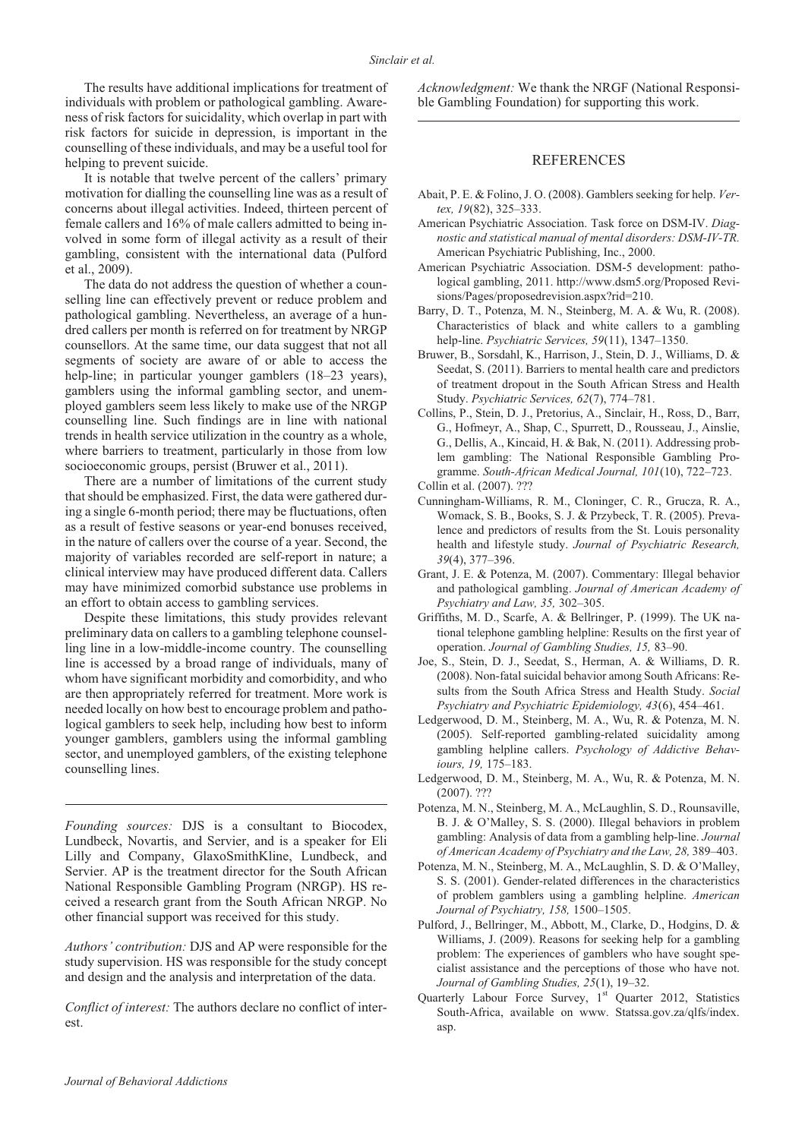The results have additional implications for treatment of individuals with problem or pathological gambling. Awareness of risk factors for suicidality, which overlap in part with risk factors for suicide in depression, is important in the counselling of these individuals, and may be a useful tool for helping to prevent suicide.

It is notable that twelve percent of the callers' primary motivation for dialling the counselling line was as a result of concerns about illegal activities. Indeed, thirteen percent of female callers and 16% of male callers admitted to being involved in some form of illegal activity as a result of their gambling, consistent with the international data (Pulford et al., 2009).

The data do not address the question of whether a counselling line can effectively prevent or reduce problem and pathological gambling. Nevertheless, an average of a hundred callers per month is referred on for treatment by NRGP counsellors. At the same time, our data suggest that not all segments of society are aware of or able to access the help-line; in particular younger gamblers (18–23 years), gamblers using the informal gambling sector, and unemployed gamblers seem less likely to make use of the NRGP counselling line. Such findings are in line with national trends in health service utilization in the country as a whole, where barriers to treatment, particularly in those from low socioeconomic groups, persist (Bruwer et al., 2011).

There are a number of limitations of the current study that should be emphasized. First, the data were gathered during a single 6-month period; there may be fluctuations, often as a result of festive seasons or year-end bonuses received, in the nature of callers over the course of a year. Second, the majority of variables recorded are self-report in nature; a clinical interview may have produced different data. Callers may have minimized comorbid substance use problems in an effort to obtain access to gambling services.

Despite these limitations, this study provides relevant preliminary data on callers to a gambling telephone counselling line in a low-middle-income country. The counselling line is accessed by a broad range of individuals, many of whom have significant morbidity and comorbidity, and who are then appropriately referred for treatment. More work is needed locally on how best to encourage problem and pathological gamblers to seek help, including how best to inform younger gamblers, gamblers using the informal gambling sector, and unemployed gamblers, of the existing telephone counselling lines.

*Founding sources:* DJS is a consultant to Biocodex, Lundbeck, Novartis, and Servier, and is a speaker for Eli Lilly and Company, GlaxoSmithKline, Lundbeck, and Servier. AP is the treatment director for the South African National Responsible Gambling Program (NRGP). HS received a research grant from the South African NRGP. No other financial support was received for this study.

*Authors' contribution:* DJS and AP were responsible for the study supervision. HS was responsible for the study concept and design and the analysis and interpretation of the data.

*Conflict of interest:* The authors declare no conflict of interest.

*Acknowledgment:* We thank the NRGF (National Responsible Gambling Foundation) for supporting this work.

## **REFERENCES**

- Abait, P. E. & Folino, J. O. (2008). Gamblers seeking for help. *Vertex, 19*(82), 325–333.
- American Psychiatric Association. Task force on DSM-IV. *Diagnostic and statistical manual of mental disorders: DSM-IV-TR.* American Psychiatric Publishing, Inc., 2000.
- American Psychiatric Association. DSM-5 development: pathological gambling, 2011. http://www.dsm5.org/Proposed Revisions/Pages/proposedrevision.aspx?rid=210.
- Barry, D. T., Potenza, M. N., Steinberg, M. A. & Wu, R. (2008). Characteristics of black and white callers to a gambling help-line. *Psychiatric Services, 59*(11), 1347–1350.
- Bruwer, B., Sorsdahl, K., Harrison, J., Stein, D. J., Williams, D. & Seedat, S. (2011). Barriers to mental health care and predictors of treatment dropout in the South African Stress and Health Study. *Psychiatric Services, 62*(7), 774–781.
- Collins, P., Stein, D. J., Pretorius, A., Sinclair, H., Ross, D., Barr, G., Hofmeyr, A., Shap, C., Spurrett, D., Rousseau, J., Ainslie, G., Dellis, A., Kincaid, H. & Bak, N. (2011). Addressing problem gambling: The National Responsible Gambling Programme. *South-African Medical Journal, 101*(10), 722–723. Collin et al. (2007). ???
- Cunningham-Williams, R. M., Cloninger, C. R., Grucza, R. A., Womack, S. B., Books, S. J. & Przybeck, T. R. (2005). Prevalence and predictors of results from the St. Louis personality health and lifestyle study. *Journal of Psychiatric Research, 39*(4), 377–396.
- Grant, J. E. & Potenza, M. (2007). Commentary: Illegal behavior and pathological gambling. *Journal of American Academy of Psychiatry and Law, 35,* 302–305.
- Griffiths, M. D., Scarfe, A. & Bellringer, P. (1999). The UK national telephone gambling helpline: Results on the first year of operation. *Journal of Gambling Studies, 15,* 83–90.
- Joe, S., Stein, D. J., Seedat, S., Herman, A. & Williams, D. R. (2008). Non-fatal suicidal behavior among South Africans: Results from the South Africa Stress and Health Study. *Social Psychiatry and Psychiatric Epidemiology, 43*(6), 454–461.
- Ledgerwood, D. M., Steinberg, M. A., Wu, R. & Potenza, M. N. (2005). Self-reported gambling-related suicidality among gambling helpline callers. *Psychology of Addictive Behaviours, 19,* 175–183.
- Ledgerwood, D. M., Steinberg, M. A., Wu, R. & Potenza, M. N. (2007). ???
- Potenza, M. N., Steinberg, M. A., McLaughlin, S. D., Rounsaville, B. J. & O'Malley, S. S. (2000). Illegal behaviors in problem gambling: Analysis of data from a gambling help-line. *Journal of American Academy of Psychiatry and the Law, 28,* 389–403.
- Potenza, M. N., Steinberg, M. A., McLaughlin, S. D. & O'Malley, S. S. (2001). Gender-related differences in the characteristics of problem gamblers using a gambling helpline. *American Journal of Psychiatry, 158,* 1500–1505.
- Pulford, J., Bellringer, M., Abbott, M., Clarke, D., Hodgins, D. & Williams, J. (2009). Reasons for seeking help for a gambling problem: The experiences of gamblers who have sought specialist assistance and the perceptions of those who have not. *Journal of Gambling Studies, 25*(1), 19–32.
- Quarterly Labour Force Survey, 1<sup>st</sup> Quarter 2012, Statistics South-Africa, available on www. Statssa.gov.za/qlfs/index. asp.